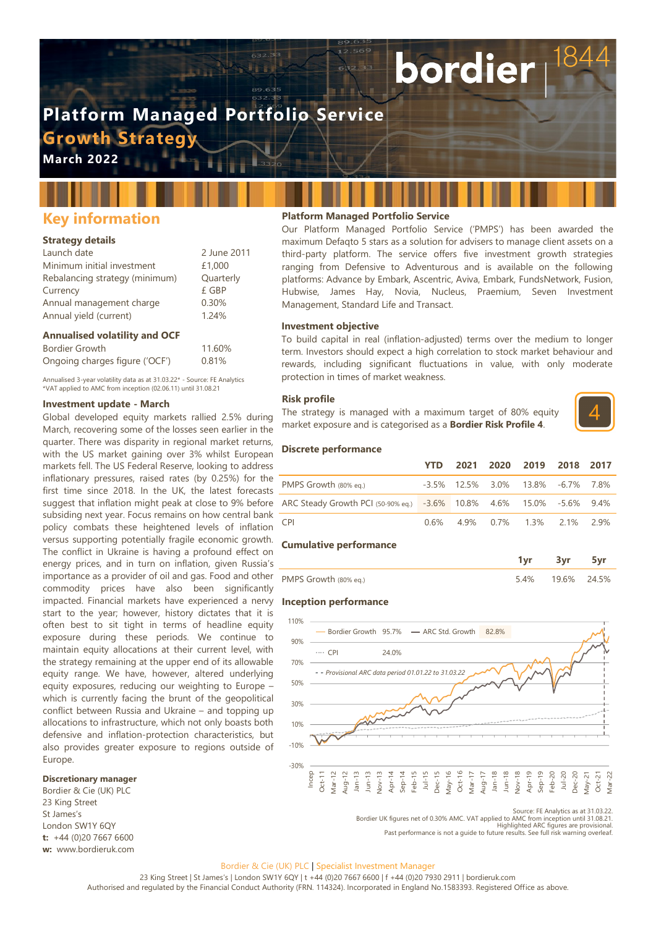# **Platform Managed Portfolio Service**

**Growth Strateg** 

**March 2022**

# **Key information**

# **Strategy details**

| Launch date                    | 2 June 2011 |
|--------------------------------|-------------|
| Minimum initial investment     | £1,000      |
| Rebalancing strategy (minimum) | Quarterly   |
| Currency                       | £ GBP       |
| Annual management charge       | 0.30%       |
| Annual yield (current)         | 1.24%       |

# **Annualised volatility and OCF**

| Bordier Growth                 | 11.60% |
|--------------------------------|--------|
| Ongoing charges figure ('OCF') | 0.81%  |

Annualised 3-year volatility data as at 31.03.22\* - Source: FE Analytics \*VAT applied to AMC from inception (02.06.11) until 31.08.21

# **Investment update - March**

Global developed equity markets rallied 2.5% during March, recovering some of the losses seen earlier in the quarter. There was disparity in regional market returns, with the US market gaining over 3% whilst European markets fell. The US Federal Reserve, looking to address inflationary pressures, raised rates (by 0.25%) for the first time since 2018. In the UK, the latest forecasts suggest that inflation might peak at close to 9% before subsiding next year. Focus remains on how central bank policy combats these heightened levels of inflation versus supporting potentially fragile economic growth. The conflict in Ukraine is having a profound effect on energy prices, and in turn on inflation, given Russia's importance as a provider of oil and gas. Food and other commodity prices have also been significantly impacted. Financial markets have experienced a nervy start to the year; however, history dictates that it is often best to sit tight in terms of headline equity exposure during these periods. We continue to maintain equity allocations at their current level, with the strategy remaining at the upper end of its allowable equity range. We have, however, altered underlying equity exposures, reducing our weighting to Europe – which is currently facing the brunt of the geopolitical conflict between Russia and Ukraine – and topping up allocations to infrastructure, which not only boasts both defensive and inflation-protection characteristics, but also provides greater exposure to regions outside of Europe.

# **Discretionary manager**

Bordier & Cie (UK) PLC 23 King Street St James's London SW1Y 6QY **t:** +44 (0)20 7667 6600 **w:** www.bordieruk.com

# **Platform Managed Portfolio Service**

Our Platform Managed Portfolio Service ('PMPS') has been awarded the maximum Defaqto 5 stars as a solution for advisers to manage client assets on a third-party platform. The service offers five investment growth strategies ranging from Defensive to Adventurous and is available on the following platforms: Advance by Embark, Ascentric, Aviva, Embark, FundsNetwork, Fusion, Hubwise, James Hay, Novia, Nucleus, Praemium, Seven Investment Management, Standard Life and Transact.

bordier

#### **Investment objective**

To build capital in real (inflation-adjusted) terms over the medium to longer term. Investors should expect a high correlation to stock market behaviour and rewards, including significant fluctuations in value, with only moderate protection in times of market weakness.

#### **Risk profile**

The strategy is managed with a maximum target of 80% equity market exposure and is categorised as a **Bordier Risk Profile 4**.



#### **Discrete performance**

|                                                                      | YTD. |  | 2021 2020 2019 2018 2017          |  |
|----------------------------------------------------------------------|------|--|-----------------------------------|--|
| PMPS Growth (80% eq.)                                                |      |  | -3.5% 12.5% 3.0% 13.8% -6.7% 7.8% |  |
| ARC Steady Growth PCI (50-90% eq.) -3.6% 10.8% 4.6% 15.0% -5.6% 9.4% |      |  |                                   |  |
| CPI <sup>-</sup>                                                     |      |  | 0.6% 4.9% 0.7% 1.3% 2.1% 2.9%     |  |

#### **Cumulative performance**

| PMPS Growth (80% eq.) | 9.6% | $74.5\%$ |
|-----------------------|------|----------|

#### **Inception performance**



Source: FE Analytics as at 31.03.22. Bordier UK figures net of 0.30% AMC. VAT applied to AMC from inception until 31.08.21. Highlighted ARC figures are provisional.

Past performance is not a guide to future results. See full risk warning overleaf.

#### Bordier & Cie (UK) PLC | Specialist Investment Manager

23 King Street | St James's | London SW1Y 6QY | t +44 (0)20 7667 6600 | f +44 (0)20 7930 2911 | bordieruk.com Authorised and regulated by the Financial Conduct Authority (FRN. 114324). Incorporated in England No.1583393. Registered Office as above.